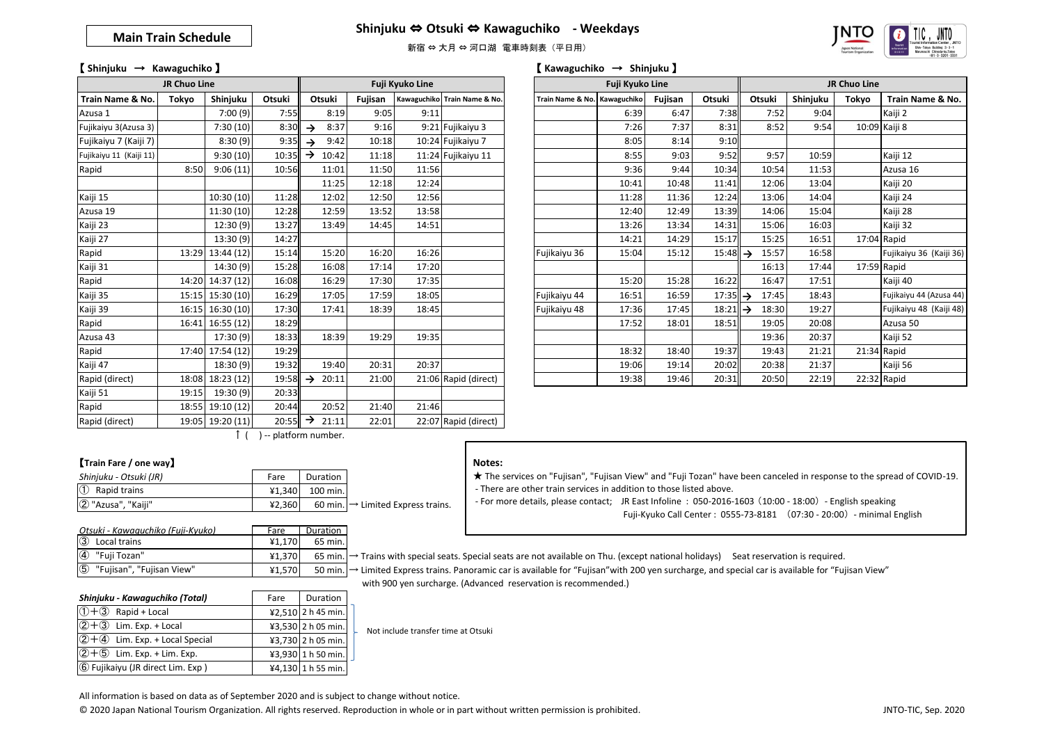## **Main Train Schedule**





# 【 **Shinjuku** → **Kawaguchiko** 】 【 **Kawaguchiko** → **Shinjuku** 】

|                         | JR Chuo Line |                  |                       |                        |         | Fuji Kyuko Line |                              |                              | Fuji Kyuko Line |         |                     |        |          | JR Chuo Line |               |
|-------------------------|--------------|------------------|-----------------------|------------------------|---------|-----------------|------------------------------|------------------------------|-----------------|---------|---------------------|--------|----------|--------------|---------------|
| Train Name & No.        | Tokyo        | Shinjuku         | Otsuki                | Otsuki                 | Fujisan |                 | Kawaguchiko Train Name & No. | Train Name & No. Kawaguchiko |                 | Fujisan | Otsuki              | Otsuki | Shinjuku | Tokyo        | Train N       |
| Azusa 1                 |              | 7:00(9)          | 7:55                  | 8:19                   | 9:05    | 9:11            |                              |                              | 6:39            | 6:47    | 7:38                | 7:52   | 9:04     |              | Kaiji 2       |
| Fujikaiyu 3(Azusa 3)    |              | 7:30(10)         | 8:30                  | 8:37<br>$\rightarrow$  | 9:16    |                 | 9:21 Fujikaiyu 3             |                              | 7:26            | 7:37    | 8:31                | 8:52   | 9:54     |              | 10:09 Kaiji 8 |
| Fujikaiyu 7 (Kaiji 7)   |              | 8:30(9)          | 9:35                  | 9:42<br>$\rightarrow$  | 10:18   |                 | 10:24 Fujikaiyu 7            |                              | 8:05            | 8:14    | 9:10                |        |          |              |               |
| Fujikaiyu 11 (Kaiji 11) |              | 9:30(10)         | 10:35                 | $\rightarrow$<br>10:42 | 11:18   |                 | 11:24 Fujikaiyu 11           |                              | 8:55            | 9:03    | 9:52                | 9:57   | 10:59    |              | Kaiji 12      |
| Rapid                   | 8:50         | 9:06(11)         | 10:56                 | 11:01                  | 11:50   | 11:56           |                              |                              | 9:36            | 9:44    | 10:34               | 10:54  | 11:53    |              | Azusa 16      |
|                         |              |                  |                       | 11:25                  | 12:18   | 12:24           |                              |                              | 10:41           | 10:48   | 11:41               | 12:06  | 13:04    |              | Kaiji 20      |
| Kaiji 15                |              | 10:30(10)        | 11:28                 | 12:02                  | 12:50   | 12:56           |                              |                              | 11:28           | 11:36   | 12:24               | 13:06  | 14:04    |              | Kaiji 24      |
| Azusa 19                |              | 11:30 (10)       | 12:28                 | 12:59                  | 13:52   | 13:58           |                              |                              | 12:40           | 12:49   | 13:39               | 14:06  | 15:04    |              | Kaiji 28      |
| Kaiji 23                |              | 12:30(9)         | 13:27                 | 13:49                  | 14:45   | 14:51           |                              |                              | 13:26           | 13:34   | 14:31               | 15:06  | 16:03    |              | Kaiji 32      |
| Kaiji 27                |              | 13:30 (9)        | 14:27                 |                        |         |                 |                              |                              | 14:21           | 14:29   | 15:17               | 15:25  | 16:51    |              | 17:04 Rapid   |
| Rapid                   | 13:29        | 13:44 (12)       | 15:14                 | 15:20                  | 16:20   | 16:26           |                              | Fujikaiyu 36                 | 15:04           | 15:12   | $15:48 \rightarrow$ | 15:57  | 16:58    |              | Fujikaiyu     |
| Kaiji 31                |              | 14:30 (9)        | 15:28                 | 16:08                  | 17:14   | 17:20           |                              |                              |                 |         |                     | 16:13  | 17:44    |              | 17:59 Rapid   |
| Rapid                   |              | 14:20 14:37 (12) | 16:08                 | 16:29                  | 17:30   | 17:35           |                              |                              | 15:20           | 15:28   | 16:22               | 16:47  | 17:51    |              | Kaiji 40      |
| Kaiji 35                |              | 15:15 15:30 (10) | 16:29                 | 17:05                  | 17:59   | 18:05           |                              | Fujikaiyu 44                 | 16:51           | 16:59   | $17:35 \rightarrow$ | 17:45  | 18:43    |              | Fujikaiyu 4   |
| Kaiji 39                |              | 16:15 16:30 (10) | 17:30                 | 17:41                  | 18:39   | 18:45           |                              | Fujikaiyu 48                 | 17:36           | 17:45   | $18:21 \rightarrow$ | 18:30  | 19:27    |              | Fujikaiyu     |
| Rapid                   |              | 16:41 16:55 (12) | 18:29                 |                        |         |                 |                              |                              | 17:52           | 18:01   | 18:51               | 19:05  | 20:08    |              | Azusa 50      |
| Azusa 43                |              | 17:30 (9)        | 18:33                 | 18:39                  | 19:29   | 19:35           |                              |                              |                 |         |                     | 19:36  | 20:37    |              | Kaiji 52      |
| Rapid                   |              | 17:40 17:54 (12) | 19:29                 |                        |         |                 |                              |                              | 18:32           | 18:40   | 19:37               | 19:43  | 21:21    |              | 21:34 Rapid   |
| Kaiji 47                |              | 18:30(9)         | 19:32                 | 19:40                  | 20:31   | 20:37           |                              |                              | 19:06           | 19:14   | 20:02               | 20:38  | 21:37    |              | Kaiji 56      |
| Rapid (direct)          | 18:08        | 18:23(12)        | 19:58                 | 20:11<br>$\rightarrow$ | 21:00   |                 | 21:06 Rapid (direct)         |                              | 19:38           | 19:46   | 20:31               | 20:50  | 22:19    |              | 22:32 Rapid   |
| Kaiji 51                | 19:15        | 19:30 (9)        | 20:33                 |                        |         |                 |                              |                              |                 |         |                     |        |          |              |               |
| Rapid                   |              | 18:55 19:10 (12) | 20:44                 | 20:52                  | 21:40   | 21:46           |                              |                              |                 |         |                     |        |          |              |               |
| Rapid (direct)          |              | 19:05 19:20 (11) | $20:55$ $\rightarrow$ | 21:11                  | 22:01   |                 | 22:07 Rapid (direct)         |                              |                 |         |                     |        |          |              |               |

| JR Chuo Line            |       |                  |        |                           |         | Fuji Kyuko Line |                              | Fuji Kyuko Line              |       |         |                     | JR Chuo Line |          |             |                         |
|-------------------------|-------|------------------|--------|---------------------------|---------|-----------------|------------------------------|------------------------------|-------|---------|---------------------|--------------|----------|-------------|-------------------------|
| Train Name & No.        | Tokyo | Shinjuku         | Otsuki | Otsuki                    | Fujisan |                 | Kawaguchiko Train Name & No. | Train Name & No. Kawaguchiko |       | Fujisan | Otsuki              | Otsuki       | Shinjuku | Tokyo       | Train Name & No.        |
| Azusa 1                 |       | 7:00(9)          | 7:55   | 8:19                      | 9:05    | 9:11            |                              |                              | 6:39  | 6:47    | 7:38                | 7:52         | 9:04     |             | Kaiji 2                 |
| Fujikaiyu 3(Azusa 3)    |       | 7:30(10)         | 8:30   | 8:37<br>$\rightarrow$     | 9:16    |                 | 9:21 Fujikaiyu 3             |                              | 7:26  | 7:37    | 8:31                | 8:52         | 9:54     |             | 10:09 Kaiji 8           |
| Fujikaiyu 7 (Kaiji 7)   |       | 8:30(9)          | 9:35   | 9:42<br>$\rightarrow$     | 10:18   |                 | 10:24 Fujikaiyu 7            |                              | 8:05  | 8:14    | 9:10                |              |          |             |                         |
| Fujikaiyu 11 (Kaiji 11) |       | 9:30(10)         | 10:35  | $\rightarrow$<br>10:42    | 11:18   |                 | 11:24 Fujikaiyu 11           |                              | 8:55  | 9:03    | 9:52                | 9:57         | 10:59    |             | Kaiji 12                |
| Rapid                   | 8:50  | 9:06(11)         | 10:56  | 11:01                     | 11:50   | 11:56           |                              |                              | 9:36  | 9:44    | 10:34               | 10:54        | 11:53    |             | Azusa 16                |
|                         |       |                  |        | 11:25                     | 12:18   | 12:24           |                              |                              | 10:41 | 10:48   | 11:41               | 12:06        | 13:04    |             | Kaiji 20                |
| Kaiji 15                |       | 10:30 (10)       | 11:28  | 12:02                     | 12:50   | 12:56           |                              |                              | 11:28 | 11:36   | 12:24               | 13:06        | 14:04    |             | Kaiji 24                |
| Azusa 19                |       | 11:30 (10)       | 12:28  | 12:59                     | 13:52   | 13:58           |                              |                              | 12:40 | 12:49   | 13:39               | 14:06        | 15:04    |             | Kaiji 28                |
| Kaiji 23                |       | 12:30(9)         | 13:27  | 13:49                     | 14:45   | 14:51           |                              |                              | 13:26 | 13:34   | 14:31               | 15:06        | 16:03    |             | Kaiji 32                |
| Kaiji 27                |       | 13:30(9)         | 14:27  |                           |         |                 |                              |                              | 14:21 | 14:29   | 15:17               | 15:25        | 16:51    | 17:04 Rapid |                         |
| Rapid                   | 13:29 | 13:44 (12)       | 15:14  | 15:20                     | 16:20   | 16:26           |                              | Fujikaiyu 36                 | 15:04 | 15:12   | $15:48 \rightarrow$ | 15:57        | 16:58    |             | Fujikaiyu 36 (Kaiji 36) |
| Kaiji 31                |       | 14:30 (9)        | 15:28  | 16:08                     | 17:14   | 17:20           |                              |                              |       |         |                     | 16:13        | 17:44    | 17:59 Rapid |                         |
| Rapid                   |       | 14:20 14:37 (12) | 16:08  | 16:29                     | 17:30   | 17:35           |                              |                              | 15:20 | 15:28   | 16:22               | 16:47        | 17:51    |             | Kaiji 40                |
| Kaiji 35                |       | 15:15 15:30 (10) | 16:29  | 17:05                     | 17:59   | 18:05           |                              | Fujikaiyu 44                 | 16:51 | 16:59   | $17:35 \rightarrow$ | 17:45        | 18:43    |             | Fujikaiyu 44 (Azusa 44) |
| Kaiji 39                |       | 16:15 16:30 (10) | 17:30  | 17:41                     | 18:39   | 18:45           |                              | Fujikaiyu 48                 | 17:36 | 17:45   | $18:21 \rightarrow$ | 18:30        | 19:27    |             | Fujikaiyu 48 (Kaiji 48) |
| Rapid                   | 16:41 | 16:55(12)        | 18:29  |                           |         |                 |                              |                              | 17:52 | 18:01   | 18:51               | 19:05        | 20:08    |             | Azusa 50                |
| Azusa 43                |       | 17:30(9)         | 18:33  | 18:39                     | 19:29   | 19:35           |                              |                              |       |         |                     | 19:36        | 20:37    |             | Kaiji 52                |
| Rapid                   | 17:40 | 17:54 (12)       | 19:29  |                           |         |                 |                              |                              | 18:32 | 18:40   | 19:37               | 19:43        | 21:21    | 21:34 Rapid |                         |
| Kaiji 47                |       | 18:30 (9)        | 19:32  | 19:40                     | 20:31   | 20:37           |                              |                              | 19:06 | 19:14   | 20:02               | 20:38        | 21:37    |             | Kaiji 56                |
| Rapid (direct)          |       | 18:08 18:23 (12) |        | $19:58 \rightarrow 20:11$ | 21:00   |                 | 21:06 Rapid (direct)         |                              | 19:38 | 19:46   | 20:31               | 20:50        | 22:19    | 22:32 Rapid |                         |

### ↑ ( ) -- platform number.

#### 【**Train Fare / one way**】

| Shinjuku - Otsuki (JR)     | Fare   | Duration |                                               |
|----------------------------|--------|----------|-----------------------------------------------|
| $\circled{1}$ Rapid trains | 41.340 | 100 min. |                                               |
| 2 "Azusa", "Kaiji"         | 42.360 |          | 60 min. $\rightarrow$ Limited Express trains. |

| Otsuki - Kawaguchiko (Fuji-Kyuko)        | Fare   | Duration |
|------------------------------------------|--------|----------|
| $\circled{3}$<br>Local trains            | 41.170 | 65 min.  |
| $\circled{4}$<br>"Fuji Tozan"            | 41.370 | 65 min.  |
| $\circledS$<br>"Fujisan", "Fujisan View" | 41.570 | 50 min.  |

| Shinjuku - Kawaguchiko (Total)    | Fare | Duration           |
|-----------------------------------|------|--------------------|
| $\overline{1}$ + 3 Rapid + Local  |      | ¥2,510 2 h 45 min. |
| $(2+3)$ Lim. Exp. + Local         |      | ¥3,530 2 h 05 min. |
| $(2+4)$ Lim. Exp. + Local Special |      | ¥3,730 2 h 05 min. |
| $(2+5)$ Lim. Exp. + Lim. Exp.     |      | ¥3,930 1 h 50 min. |
| 6 Fujikaiyu (JR direct Lim. Exp)  |      | ¥4,130 1 h 55 min. |

#### **Notes:**

★ The services on "Fujisan", "Fujisan View" and "Fuji Tozan" have been canceled in response to the spread of COVID-19. - There are other train services in addition to those listed above.

- For more details, please contact; JR East Infoline : 050-2016-1603 (10:00 - 18:00) - English speaking Fuji-Kyuko Call Center : 0555-73-8181 (07:30 - 20:00) - minimal English

→ Trains with special seats. Special seats are not available on Thu. (except national holidays) Seat reservation is required.

¥1,570 50 min. → Limited Express trains. Panoramic car is available for "Fujisan"with 200 yen surcharge, and special car is available for "Fujisan View" with 900 yen surcharge. (Advanced reservation is recommended.)

Not include transfer time at Otsuki

All information is based on data as of September 2020 and is subject to change without notice.

© 2020 Japan National Tourism Organization. All rights reserved. Reproduction in whole or in part without written permission is prohibited.